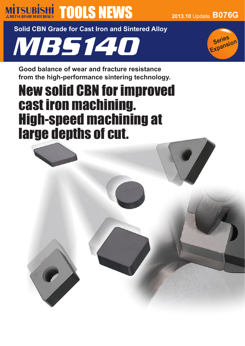# **MITSUBISHI TOOLS NEWS** 2013.10 Update B076G

**Solid CBN Grade for Cast Iron and Sintered Alloy**

MBS140



**Good balance of wear and fracture resistance from the high-performance sintering technology.**

# New solid CBN for improved cast iron machining. High-speed machining at large depths of cut.

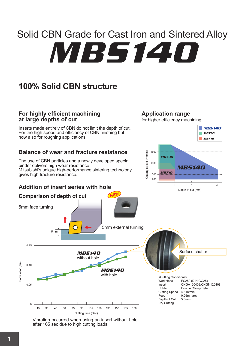# MBS140 Solid CBN Grade for Cast Iron and Sintered Alloy

# **100% Solid CBN structure**

#### **For highly efficient machining at large depths of cut**

Inserts made entirely of CBN do not limit the depth of cut. For the high speed and efficiency of CBN finishing but now also for roughing applications.

#### **Balance of wear and fracture resistance**

The use of CBN particles and a newly developed special binder delivers high wear resistance. Mitsubishi's unique high-performance sintering technology gives high fracture resistance.

### **Addition of insert series with hole**

**Comparison of depth of cut**

5mm



Cutting Speed: 400m/min<br>Feed: 0.05mm/re

Depth of Cut Dry Cutting

: 0.05mm/rev

**Application range**

for higher efficiency machining



MBS140

without hole

with hole

Vibration occurred when using an insert without hole after 165 sec due to high cutting loads.

0.15

5mm face turning

0.10

Flank wear (mm)

Flank wear (mm)

0.05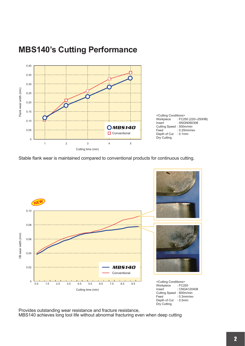

## **MBS140's Cutting Performance**

Stable flank wear is maintained compared to conventional products for continuous cutting.



Provides outstanding wear resistance and fracture resistance, MBS140 achieves long tool life without abnormal fracturing even when deep cutting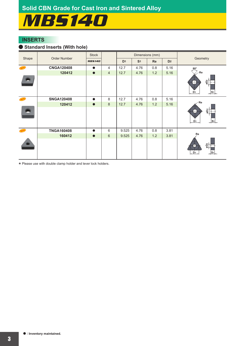# MBS140

#### **INSERTS**

#### a **Standard Inserts (With hole)**

|       | Order Number      | <b>Stock</b>  |                | Dimensions (mm) |                |     |                |                                                          |  |
|-------|-------------------|---------------|----------------|-----------------|----------------|-----|----------------|----------------------------------------------------------|--|
| Shape |                   | <b>MB5140</b> |                |                 | S <sub>1</sub> | Re  | D <sub>2</sub> | Geometry                                                 |  |
| NEW   | <b>CNGA120408</b> |               | $\overline{4}$ | 12.7            | 4.76           | 0.8 | 5.16           | $80^\circ$                                               |  |
|       | 120412            | $\bullet$     | $\overline{4}$ | 12.7            | 4.76           | 1.2 | 5.16           | ∕ Re                                                     |  |
|       |                   |               |                |                 |                |     |                | $\frac{2}{9}$<br>D <sub>1</sub><br>$\frac{ S_1 }{ S_2 }$ |  |
| NEW   | <b>SNGA120408</b> | $\bullet$     | 8              | 12.7            | 4.76           | 0.8 | 5.16           |                                                          |  |
|       | 120412            | $\bullet$     | 8              | 12.7            | 4.76           | 1.2 | 5.16           | $\angle$ Re                                              |  |
|       |                   |               |                |                 |                |     |                | $\frac{5}{2}$<br>S <sub>1</sub><br>D <sub>1</sub>        |  |
| NEW   | <b>TNGA160408</b> | $\bullet$     | 6              | 9.525           | 4.76           | 0.8 | 3.81           |                                                          |  |
|       | 160412            | $\bullet$     | $6\phantom{1}$ | 9.525           | 4.76           | 1.2 | 3.81           | Re                                                       |  |
|       |                   |               |                |                 |                |     |                | $\tilde{g}^+_1$<br>D <sub>1</sub><br>$ S_1 $             |  |

\* Please use with double clamp holder and lever lock holders.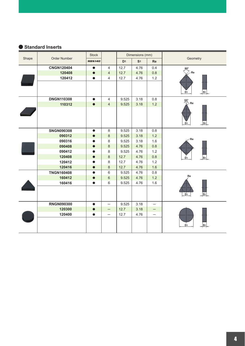#### a **Standard Inserts**

|       | Order Number      | Stock         |                          | Dimensions (mm) |                |                          |                                                |  |
|-------|-------------------|---------------|--------------------------|-----------------|----------------|--------------------------|------------------------------------------------|--|
| Shape |                   | <b>MB5140</b> |                          | D <sub>1</sub>  | S <sub>1</sub> | <b>Re</b>                | Geometry                                       |  |
|       | <b>CNGN120404</b> | $\bullet$     | $\overline{4}$           | 12.7            | 4.76           | 0.4                      | $80^\circ$                                     |  |
|       | 120408            | $\bullet$     | $\overline{4}$           | 12.7            | 4.76           | 0.8                      | ∕ Re                                           |  |
|       | 120412            | ●             | 4                        | 12.7            | 4.76           | 1.2                      |                                                |  |
|       |                   |               |                          |                 |                |                          | $ S_1 $<br>D <sub>1</sub>                      |  |
|       | <b>DNGN110308</b> | $\bullet$     | $\overline{4}$           | 9.525           | 3.18           | 0.8                      | $\frac{55^{\circ}}{\sqrt{2}}$ Re               |  |
|       | 110312            | $\bullet$     | $\overline{4}$           | 9.525           | 3.18           | 1.2                      |                                                |  |
|       |                   |               |                          |                 |                |                          | $\frac{1}{2}$ S <sub>1</sub><br>D <sub>1</sub> |  |
|       | <b>SNGN090308</b> | $\bullet$     | 8                        | 9.525           | 3.18           | 0.8                      |                                                |  |
|       | 090312            | $\bullet$     | 8                        | 9.525           | 3.18           | 1.2                      |                                                |  |
|       | 090316            |               | 8                        | 9.525           | 3.18           | 1.6                      | $\angle$ Re                                    |  |
|       | 090408            | $\bullet$     | $\,8\,$                  | 9.525           | 4.76           | 0.8                      |                                                |  |
|       | 090412            | $\bullet$     | 8                        | 9.525           | 4.76           | 1.2                      |                                                |  |
|       | 120408            | $\bullet$     | 8                        | 12.7            | 4.76           | 0.8                      | $ S_1 $<br>D <sub>1</sub>                      |  |
|       | 120412            | ●             | 8                        | 12.7            | 4.76           | 1.2                      |                                                |  |
|       | 120416            | $\bullet$     | 8                        | 12.7            | 4.76           | 1.6                      |                                                |  |
|       | <b>TNGN160408</b> | $\bullet$     | 6                        | 9.525           | 4.76           | 0.8                      |                                                |  |
|       | 160412            | $\bullet$     | 6                        | 9.525           | 4.76           | 1.2                      | Re                                             |  |
|       | 160416            | $\bullet$     | 6                        | 9.525           | 4.76           | 1.6                      |                                                |  |
|       |                   |               |                          |                 |                |                          | D <sub>1</sub><br>$ S_1 $                      |  |
|       | <b>RNGN090300</b> | $\bullet$     | $\overline{\phantom{0}}$ | 9.525           | 3.18           |                          |                                                |  |
|       | 120300            | $\bullet$     | $\qquad \qquad -$        | 12.7            | 3.18           | —                        |                                                |  |
|       | 120400            | $\bullet$     | $\qquad \qquad -$        | 12.7            | 4.76           | $\overline{\phantom{0}}$ |                                                |  |
|       |                   |               |                          |                 |                |                          | D <sub>1</sub><br>S <sub>1</sub>               |  |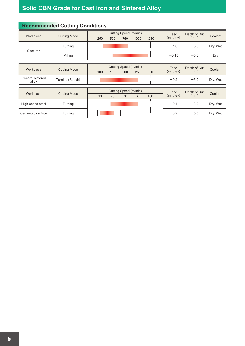# **Solid CBN Grade for Cast Iron and Sintered Alloy**

| v                           |                     |                       |     |                       |      |      |                |              |          |
|-----------------------------|---------------------|-----------------------|-----|-----------------------|------|------|----------------|--------------|----------|
| Workpiece                   | <b>Cutting Mode</b> |                       |     | Cutting Speed (m/min) |      | Feed | Depth of Cut   | Coolant      |          |
|                             |                     | 250                   | 500 | 750                   | 1000 | 1250 | (mm/rev)       | (mm)         |          |
| Cast iron                   | Turning             |                       |     |                       |      |      | $-1.0$         | $-5.0$       | Dry, Wet |
|                             | Milling             |                       |     |                       |      |      | $-0.15$        | $-5.0$       | Dry      |
|                             |                     |                       |     |                       |      |      |                |              |          |
| Workpiece                   | <b>Cutting Mode</b> | Cutting Speed (m/min) |     |                       |      |      | Feed           | Depth of Cut | Coolant  |
|                             |                     | 100                   | 150 | 200                   | 250  | 300  | (mm/rev)       | (mm)         |          |
| General sintered<br>alloy   | Turning (Rough)     |                       |     |                       |      |      | $-0.2$         | $-5.0$       | Dry, Wet |
|                             |                     |                       |     |                       |      |      |                |              |          |
| Workpiece                   | <b>Cutting Mode</b> | Cutting Speed (m/min) |     |                       |      |      | Feed           | Depth of Cut | Coolant  |
|                             |                     | 10                    | 20  | 30                    | 60   | 100  | $(mm$ /rev $)$ | (mm)         |          |
| High-speed steel            | Turning             |                       |     |                       |      |      | $-0.4$         | $-3.0$       | Dry, Wet |
|                             |                     |                       |     |                       |      |      |                |              |          |
| Cemented carbide<br>Turning |                     |                       |     |                       |      |      | $-0.2$         | $-5.0$       | Dry, Wet |

### **Recommended Cutting Conditions**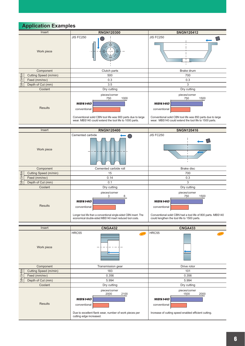### **Application Examples**

|                    | Insert                | <b>RNGN120300</b>                                                                                                                                                                          | <b>SNGN120412</b>                                                                                                                                                                      |  |  |  |  |
|--------------------|-----------------------|--------------------------------------------------------------------------------------------------------------------------------------------------------------------------------------------|----------------------------------------------------------------------------------------------------------------------------------------------------------------------------------------|--|--|--|--|
|                    | Work piece            | <b>JIS FC250</b>                                                                                                                                                                           | <b>JIS FC250</b>                                                                                                                                                                       |  |  |  |  |
|                    | Component             | Clutch parts                                                                                                                                                                               | Brake drum                                                                                                                                                                             |  |  |  |  |
|                    | Cutting Speed (m/min) | 500                                                                                                                                                                                        | 700                                                                                                                                                                                    |  |  |  |  |
| Cutting Conditions | Feed (mm/rev)         | 0.3                                                                                                                                                                                        | 0.3                                                                                                                                                                                    |  |  |  |  |
|                    | Depth of Cut (mm)     | 3.5                                                                                                                                                                                        | 3                                                                                                                                                                                      |  |  |  |  |
|                    | Coolant               | Dry cutting                                                                                                                                                                                | Dry cutting                                                                                                                                                                            |  |  |  |  |
|                    | <b>Results</b>        | pieces/corner<br>750<br>1000<br><b>MB5140</b><br>conventional<br>Conventional solid CBN tool life was 900 parts due to large<br>wear. MBS140 could extend the tool life to 1000 parts.     | pieces/corner<br>750<br>1500<br><b>MB5140</b><br>conventional<br>Conventional solid CBN tool life was 850 parts due to large<br>wear. MBS140 could extend the tool life to 1500 parts. |  |  |  |  |
|                    | Insert                | <b>RNGN120400</b>                                                                                                                                                                          | <b>SNGN120416</b>                                                                                                                                                                      |  |  |  |  |
|                    | Work piece            | Cemented carbide                                                                                                                                                                           | <b>JIS FC250</b>                                                                                                                                                                       |  |  |  |  |
|                    | Component             | Cemented carbide roll                                                                                                                                                                      | Brake disc                                                                                                                                                                             |  |  |  |  |
| Cutting Conditions | Cutting Speed (m/min) | 15                                                                                                                                                                                         | 700                                                                                                                                                                                    |  |  |  |  |
|                    | Feed (mm/rev)         | 0.14                                                                                                                                                                                       | 0.3                                                                                                                                                                                    |  |  |  |  |
|                    | Depth of Cut (mm)     | 0.1                                                                                                                                                                                        | 3                                                                                                                                                                                      |  |  |  |  |
|                    | Coolant               | Dry cutting                                                                                                                                                                                | Dry cutting                                                                                                                                                                            |  |  |  |  |
| <b>Results</b>     |                       | pieces/corner<br>3<br>6<br><b>MB5140</b><br>conventional<br>Longer tool life than a conventional single-sided CBN insert. The<br>economical double-sided MBS140 insert reduced tool costs. | pieces/corner<br>750<br>1500<br><b>MB5140</b><br>conventional<br>Conventional solid CBN had a tool life of 800 parts. MBS140<br>could lengthen the tool life to 1500 parts.            |  |  |  |  |
|                    |                       |                                                                                                                                                                                            |                                                                                                                                                                                        |  |  |  |  |
|                    | Insert                | <b>CNGA432</b>                                                                                                                                                                             | <b>CNGA433</b>                                                                                                                                                                         |  |  |  |  |
| Work piece         |                       | HRC55<br>NEW                                                                                                                                                                               | HRC55<br><b>NEW</b>                                                                                                                                                                    |  |  |  |  |
| Component          |                       | Transmission gear                                                                                                                                                                          | Drive rotor                                                                                                                                                                            |  |  |  |  |
|                    | Cutting Speed (m/min) | 183                                                                                                                                                                                        | 101                                                                                                                                                                                    |  |  |  |  |
| Cutting Conditions | Feed (mm/rev)         | 0.356                                                                                                                                                                                      | 0.356                                                                                                                                                                                  |  |  |  |  |
|                    | Depth of Cut (mm)     | 5.994                                                                                                                                                                                      | 5.994                                                                                                                                                                                  |  |  |  |  |
|                    | Coolant               | Dry cutting                                                                                                                                                                                | Dry cutting                                                                                                                                                                            |  |  |  |  |
| <b>Results</b>     |                       | pieces/corner<br>2000<br>2100<br><b>MB5140</b><br>conventional<br>Due to excellent flank wear, number of work pieces per<br>cutting edge increased.                                        | pieces/corner<br>2000<br>1500<br><b>MB5140</b><br>conventional<br>Increase of cutting speed enabled efficient cutting.                                                                 |  |  |  |  |